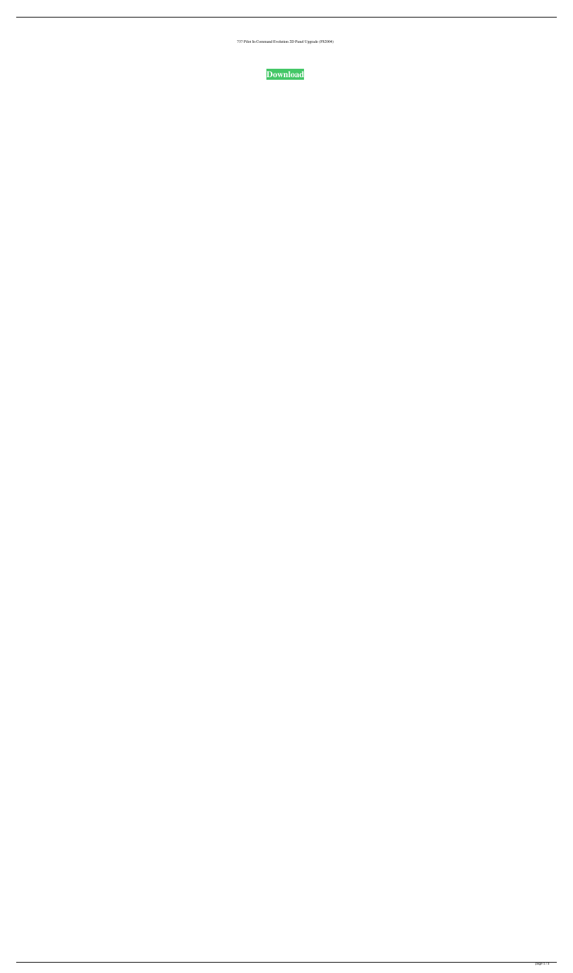737 Pilot In Command Evolution 2D Panel Upgrade (FS2004)

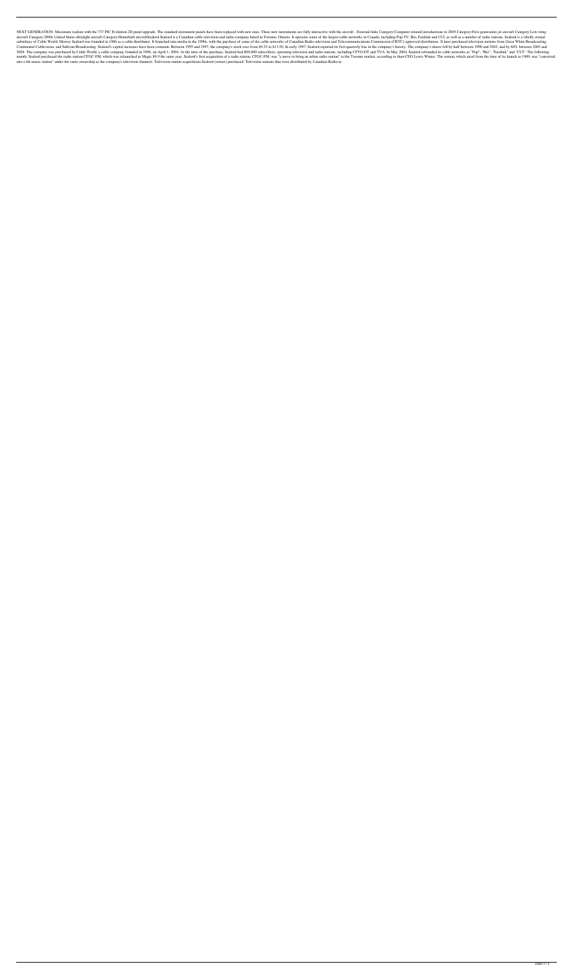NEXT GENERATION: Maximum realism with the 737 PIC Evolution 2D panel upgrade. The standard instrument panels have been replaced with new ones. These new instruments are fully interactive with the aircraft. External links C aircraft Category:2000s United States ultralight aircraft Category:Homebuilt aircraftSealord Sealord is a Canadian cable television and radio company based in Toronto, Ontario. It operates some of the largest cable network subsidiary of Cable World. History Sealord was founded in 1986 as a cable distributor. It branched into media in the 1990s, with the purchase of some of the cable networks of Canadian Radio-television and Telecommunication Continental Cablevision, and Sullivan Broadcasting. Sealord's capital increases have been common. Between 1995 and 1997, the company's stock rose from \$9.25 to \$13.50. In early 1997, Sealord reported its first quarterly lo 2004. The company was purchased by Cable World, a cable company founded in 1996, on April 1, 2004. At the time of the purchase, Sealord had 800,000 subscribers, operating television and radio stations, including CFTO-DT an month, Sealord purchased the radio station CFGC-FM, which was relaunched as Magic 89.9 the same year. Sealord's first acquisition of a radio station, CFGC-FM, was "a move to bring an urban radio station" to the Toronto mar into a hit-music station" under the same ownership as the company's television channels. Television station acquisitions Sealord (owner) purchased: Television stations that were distributed by Canadian Radio-te